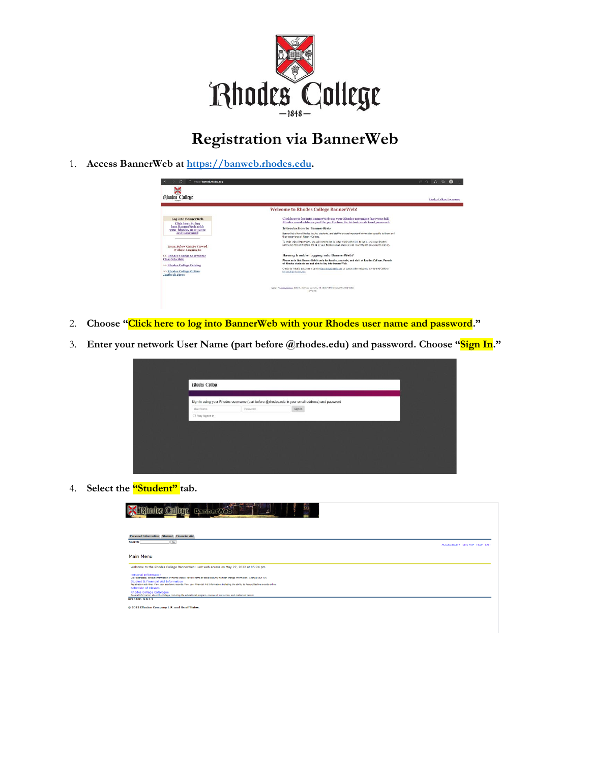

## **Registration via BannerWeb**

1. **Access BannerWeb at [https://banweb.rhodes.edu.](https://banweb.rhodes.edu/)**

| <b>Rhodes College</b>                                                                                                                                                                                                                                                                                       |                                                                                                                                                                                                                                                                                                                                                                                                                                                                                                                                                                                                                                                                                                                                                                                                                                                                                                | Rhodes College Homepage |
|-------------------------------------------------------------------------------------------------------------------------------------------------------------------------------------------------------------------------------------------------------------------------------------------------------------|------------------------------------------------------------------------------------------------------------------------------------------------------------------------------------------------------------------------------------------------------------------------------------------------------------------------------------------------------------------------------------------------------------------------------------------------------------------------------------------------------------------------------------------------------------------------------------------------------------------------------------------------------------------------------------------------------------------------------------------------------------------------------------------------------------------------------------------------------------------------------------------------|-------------------------|
|                                                                                                                                                                                                                                                                                                             | <b>Welcome to Rhodes College BannerWeb!</b>                                                                                                                                                                                                                                                                                                                                                                                                                                                                                                                                                                                                                                                                                                                                                                                                                                                    |                         |
| <b>Log into BannerWeb</b><br>Click here to log<br>into BannerWeb with<br>your Rhodes username<br>and password<br>Items Below Can Be Viewed<br>Without Logging In<br>>> Rhodes College Searchable<br><b>Class Schedule</b><br>>> Rhodes College Catalog<br>>> Rhodes College Online<br><b>Textbook Store</b> | Click here to log into BannerWeb use your Rhodes username (not your full<br>Rhodes email address; just the part before the @rhodes.edu) and password.<br><b>Introduction to BannerWeb</b><br>BannerWeb allows Rhades faculty, students, and staff to access important information specific to them and<br>their experience at Rhodes College.<br>To heck using BannerWeb, you will need to loo in, After dicking the link to log in, use your Rhodes<br>username (the part before the @ in your Rhodes email address) and your Rhodes password to sign in.<br>Having trouble logging into BannerWeb?<br>Please note that RannerWeb is only for faculty, students, and staff of Rhodes College. Parents<br>of Rhodes students are not able to log into BannerWeb.<br>Check for heighti documents on the Banner/Web Help site or contact the Helpdesk at 901-043-3890 or<br>helpdesk@rhodes.edu- |                         |
|                                                                                                                                                                                                                                                                                                             | 22025 - Shodey College, 2000 N. Parloway, Wamphis, TN 38552-1690 (Phone: 905-813-8000)<br>Trav2018                                                                                                                                                                                                                                                                                                                                                                                                                                                                                                                                                                                                                                                                                                                                                                                             |                         |

- 2. **Choose "Click here to log into BannerWeb with your Rhodes user name and password."**
- 3. **Enter your network User Name (part before @rhodes.edu) and password. Choose "Sign In."**

| <b>Rhodes College</b> |          |                                                                                                 |  |
|-----------------------|----------|-------------------------------------------------------------------------------------------------|--|
|                       |          | Sign in using your Rhodes username (part before @rhodes.edu in your email address) and password |  |
| User Name             | Password | Sign In                                                                                         |  |
| Stay Signed In        |          |                                                                                                 |  |
|                       |          |                                                                                                 |  |
|                       |          |                                                                                                 |  |
|                       |          |                                                                                                 |  |
|                       |          |                                                                                                 |  |
|                       |          |                                                                                                 |  |
|                       |          |                                                                                                 |  |
|                       |          |                                                                                                 |  |

4. **Select the "Student" tab.**

| $\sim$<br><b>Inny</b><br><b>BannerWeb</b>                                                                                                                                                                                                                                                                                                                                   |                                  |
|-----------------------------------------------------------------------------------------------------------------------------------------------------------------------------------------------------------------------------------------------------------------------------------------------------------------------------------------------------------------------------|----------------------------------|
|                                                                                                                                                                                                                                                                                                                                                                             |                                  |
| Personal Information Student Financial Aid                                                                                                                                                                                                                                                                                                                                  |                                  |
| <b>Search</b><br>Go                                                                                                                                                                                                                                                                                                                                                         | ACCESSIBILITY SITE MAP HELP EXIT |
| Main Menu<br>Welcome to the Rhodes College BannerWeb! Last web access on May 27, 2022 at 05:24 pm                                                                                                                                                                                                                                                                           |                                  |
| Personal Information<br>View addresses, contact information or marital status; review name or social security number change information; Change your PIN.<br>Student & Financial Aid Information<br>Registration activities. View your academic records. View your Rinancial Aid Information, including the ability to Accept/Decline awards online.<br>Schedule of Classes |                                  |
| <b>Rhodes College Catalogue</b><br>General information about the College, including the educational program, courses of instruction, and matters of record.<br><b>RELEASE: 8.9.1.3</b>                                                                                                                                                                                      |                                  |
| © 2022 Ellucian Company L.P. and its affiliates.                                                                                                                                                                                                                                                                                                                            |                                  |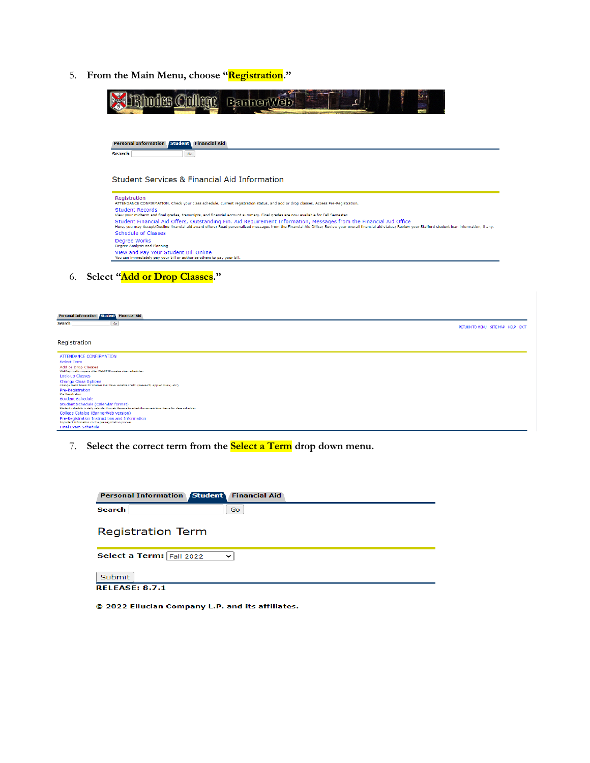5. **From the Main Menu, choose "Registration."**



| <b>Personal Information Student Financial Aid</b>                                                                                             |                                   |
|-----------------------------------------------------------------------------------------------------------------------------------------------|-----------------------------------|
| <b>Search</b><br>$60$                                                                                                                         | RETURN TO MENU SITE MAP HELP EXIT |
|                                                                                                                                               |                                   |
| Registration                                                                                                                                  |                                   |
| ATTENDANCE CONFIRMATION                                                                                                                       |                                   |
| Select Term                                                                                                                                   |                                   |
| Add or Drop Classes<br>WebRegistration opens after WebSTEP creates class schedules.                                                           |                                   |
| Look-up Classes                                                                                                                               |                                   |
| <b>Change Class Options</b><br>Change credit hours for courses that have variable credit. (Research, Applied Music, etc.)                     |                                   |
| Pre-Registration<br><b>Pre-Registration</b>                                                                                                   |                                   |
| <b>Student Schedule</b>                                                                                                                       |                                   |
| Student Schedule (Calendar format)<br>Student schedule in daily calendar format. Be sure to select the correct time frame for class schedule. |                                   |
| College Catalog (BannerWeb version)                                                                                                           |                                   |
| Pre-Registration Instructions and Information<br>Important information on the pre-registration process.                                       |                                   |
| Final Exam Schedule                                                                                                                           |                                   |
|                                                                                                                                               |                                   |

7. **Select the correct term from the Select a Term drop down menu.**

| <b>Personal Information Student Financial Aid</b> |
|---------------------------------------------------|
| Search<br>Go.                                     |
| <b>Registration Term</b>                          |
| Select a Term: Fall 2022<br>$\check{ }$           |
| Submit                                            |
| <b>RELEASE: 8.7.1</b>                             |

© 2022 Ellucian Company L.P. and its affiliates.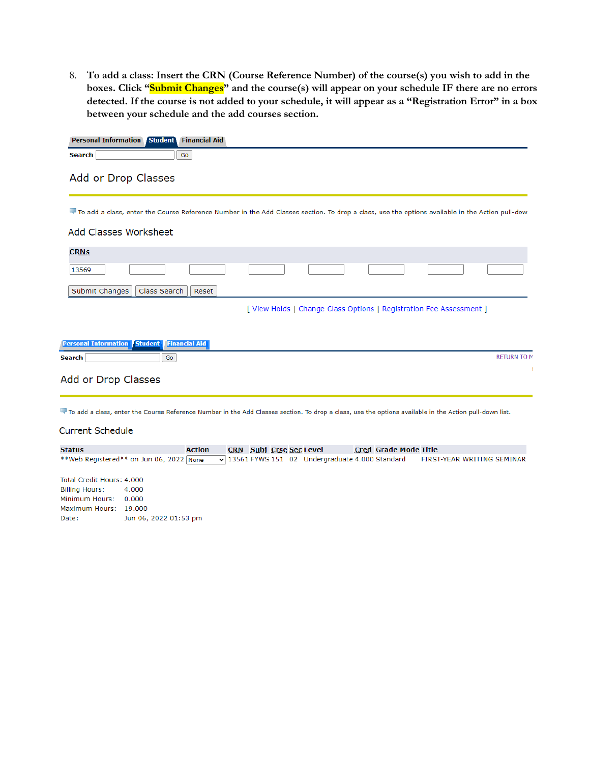8. **To add a class: Insert the CRN (Course Reference Number) of the course(s) you wish to add in the boxes. Click "Submit Changes" and the course(s) will appear on your schedule IF there are no errors detected. If the course is not added to your schedule, it will appear as a "Registration Error" in a box between your schedule and the add courses section.**

|                                                          | Personal Information Student Financial Aid |                      |                                                                                                                                                        |                              |                                                                     |                            |
|----------------------------------------------------------|--------------------------------------------|----------------------|--------------------------------------------------------------------------------------------------------------------------------------------------------|------------------------------|---------------------------------------------------------------------|----------------------------|
| Search                                                   |                                            | Go                   |                                                                                                                                                        |                              |                                                                     |                            |
|                                                          | Add or Drop Classes                        |                      |                                                                                                                                                        |                              |                                                                     |                            |
|                                                          |                                            |                      | To add a class, enter the Course Reference Number in the Add Classes section. To drop a class, use the options available in the Action pull-dow        |                              |                                                                     |                            |
|                                                          | <b>Add Classes Worksheet</b>               |                      |                                                                                                                                                        |                              |                                                                     |                            |
| <b>CRNs</b>                                              |                                            |                      |                                                                                                                                                        |                              |                                                                     |                            |
| 13569                                                    |                                            |                      |                                                                                                                                                        |                              |                                                                     |                            |
| Submit Changes                                           | Class Search                               | Reset                |                                                                                                                                                        |                              |                                                                     |                            |
|                                                          |                                            |                      |                                                                                                                                                        |                              | [ View Holds   Change Class Options   Registration Fee Assessment ] |                            |
|                                                          |                                            |                      |                                                                                                                                                        |                              |                                                                     |                            |
|                                                          |                                            |                      |                                                                                                                                                        |                              |                                                                     |                            |
| <b>Personal Information Student</b><br><b>Search</b>     | Go                                         | <b>Financial Aid</b> |                                                                                                                                                        |                              |                                                                     | <b>RETURN TO M</b>         |
|                                                          |                                            |                      |                                                                                                                                                        |                              |                                                                     | Ŧ                          |
| Add or Drop Classes                                      |                                            |                      |                                                                                                                                                        |                              |                                                                     |                            |
|                                                          |                                            |                      |                                                                                                                                                        |                              |                                                                     |                            |
|                                                          |                                            |                      | To add a class, enter the Course Reference Number in the Add Classes section. To drop a class, use the options available in the Action pull-down list. |                              |                                                                     |                            |
| <b>Current Schedule</b>                                  |                                            |                      |                                                                                                                                                        |                              |                                                                     |                            |
|                                                          |                                            |                      |                                                                                                                                                        |                              |                                                                     |                            |
| <b>Status</b><br>**Web Registered** on Jun 06, 2022 None |                                            | <b>Action</b>        | <b>CRN</b> Subj Crse Sec Level<br>$\sqrt{13561}$ FYWS 151 02 Undergraduate 4.000 Standard                                                              | <b>Cred Grade Mode Title</b> |                                                                     | FIRST-YEAR WRITING SEMINAR |
|                                                          |                                            |                      |                                                                                                                                                        |                              |                                                                     |                            |
| Total Credit Hours: 4.000<br><b>Billing Hours:</b>       | 4.000                                      |                      |                                                                                                                                                        |                              |                                                                     |                            |
| Minimum Hours:                                           | 0.000                                      |                      |                                                                                                                                                        |                              |                                                                     |                            |
| Maximum Hours: 19.000                                    |                                            |                      |                                                                                                                                                        |                              |                                                                     |                            |
| Date:                                                    | Jun 06, 2022 01:53 pm                      |                      |                                                                                                                                                        |                              |                                                                     |                            |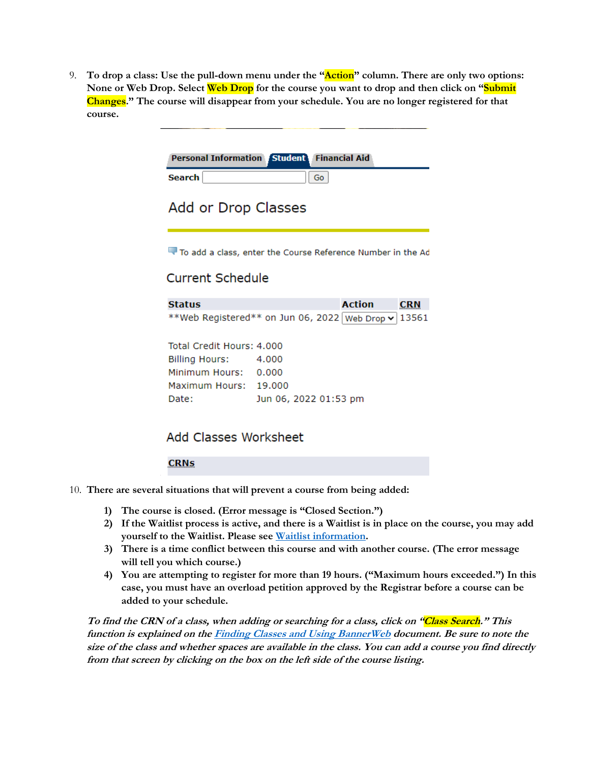9. **To drop a class: Use the pull-down menu under the "Action" column. There are only two options: None or Web Drop. Select Web Drop for the course you want to drop and then click on "Submit Changes." The course will disappear from your schedule. You are no longer registered for that course.**

|                                                                                                              | Personal Information Student Financial Aid |                                                                                       |
|--------------------------------------------------------------------------------------------------------------|--------------------------------------------|---------------------------------------------------------------------------------------|
| <b>Search</b>                                                                                                | Go                                         |                                                                                       |
| Add or Drop Classes                                                                                          |                                            |                                                                                       |
|                                                                                                              |                                            | To add a class, enter the Course Reference Number in the Ad                           |
| <b>Current Schedule</b>                                                                                      |                                            |                                                                                       |
| <b>Status</b>                                                                                                |                                            | <b>Action</b><br><b>CRN</b>                                                           |
|                                                                                                              |                                            | **Web Registered** on Jun 06, 2022   Web Drop $\mathord{\blacktriangleright}$   13561 |
| Total Credit Hours: 4,000<br><b>Billing Hours:</b><br>Minimum Hours: 0.000<br>Maximum Hours: 19.000<br>Date: | 4.000<br>Jun 06, 2022 01:53 pm             |                                                                                       |

## Add Classes Worksheet

**CRNs** 

- 10. **There are several situations that will prevent a course from being added:**
	- **1) The course is closed. (Error message is "Closed Section.")**
	- **2) If the Waitlist process is active, and there is a Waitlist is in place on the course, you may add yourself to the Waitlist. Please see [Waitlist information.](https://sites.rhodes.edu/sites/sitesd8/files/academicaffairs/Fall%202018%20BannerWeb%20Waitlist%20Policy%20FAQs%20for%20Students.pdf)**
	- **3) There is a time conflict between this course and with another course. (The error message will tell you which course.)**
	- **4) You are attempting to register for more than 19 hours. ("Maximum hours exceeded.") In this case, you must have an overload petition approved by the Registrar before a course can be added to your schedule.**

**To find the CRN of a class, when adding or searching for a class, click on "Class Search." This function is explained on th[e Finding Classes and Using BannerWeb](https://sites.rhodes.edu/sites/sites/files/academicaffairs/Finding%20Classes%20and%20BannerWeb.pdf) document. Be sure to note the size of the class and whether spaces are available in the class. You can add a course you find directly from that screen by clicking on the box on the left side of the course listing.**